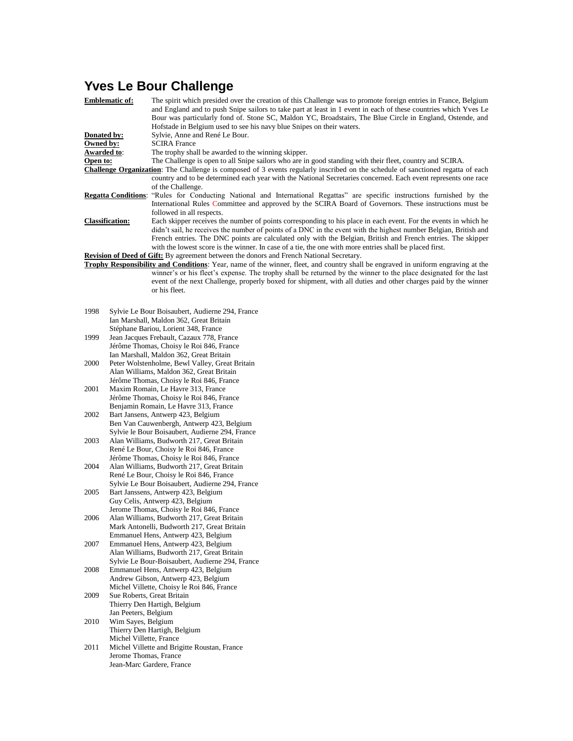## **Yves Le Bour Challenge**

|                                                                                                                                  | <b>Emblematic of:</b>      | The spirit which presided over the creation of this Challenge was to promote foreign entries in France, Belgium<br>and England and to push Snipe sailors to take part at least in 1 event in each of these countries which Yves Le<br>Bour was particularly fond of. Stone SC, Maldon YC, Broadstairs, The Blue Circle in England, Ostende, and<br>Hofstade in Belgium used to see his navy blue Snipes on their waters. |
|----------------------------------------------------------------------------------------------------------------------------------|----------------------------|--------------------------------------------------------------------------------------------------------------------------------------------------------------------------------------------------------------------------------------------------------------------------------------------------------------------------------------------------------------------------------------------------------------------------|
| Donated by:                                                                                                                      |                            | Sylvie, Anne and René Le Bour.                                                                                                                                                                                                                                                                                                                                                                                           |
| Owned by:                                                                                                                        |                            | <b>SCIRA France</b>                                                                                                                                                                                                                                                                                                                                                                                                      |
| Awarded to:                                                                                                                      |                            | The trophy shall be awarded to the winning skipper.                                                                                                                                                                                                                                                                                                                                                                      |
| Open to:                                                                                                                         |                            | The Challenge is open to all Snipe sailors who are in good standing with their fleet, country and SCIRA.<br>Challenge Organization: The Challenge is composed of 3 events regularly inscribed on the schedule of sanctioned regatta of each                                                                                                                                                                              |
|                                                                                                                                  |                            | country and to be determined each year with the National Secretaries concerned. Each event represents one race                                                                                                                                                                                                                                                                                                           |
|                                                                                                                                  |                            | of the Challenge.                                                                                                                                                                                                                                                                                                                                                                                                        |
|                                                                                                                                  | <b>Regatta Conditions:</b> | "Rules for Conducting National and International Regattas" are specific instructions furnished by the                                                                                                                                                                                                                                                                                                                    |
|                                                                                                                                  |                            | International Rules Committee and approved by the SCIRA Board of Governors. These instructions must be<br>followed in all respects.                                                                                                                                                                                                                                                                                      |
| <b>Classification:</b>                                                                                                           |                            | Each skipper receives the number of points corresponding to his place in each event. For the events in which he                                                                                                                                                                                                                                                                                                          |
|                                                                                                                                  |                            | didn't sail, he receives the number of points of a DNC in the event with the highest number Belgian, British and<br>French entries. The DNC points are calculated only with the Belgian, British and French entries. The skipper                                                                                                                                                                                         |
|                                                                                                                                  |                            | with the lowest score is the winner. In case of a tie, the one with more entries shall be placed first.                                                                                                                                                                                                                                                                                                                  |
|                                                                                                                                  |                            | <b>Revision of Deed of Gift:</b> By agreement between the donors and French National Secretary.                                                                                                                                                                                                                                                                                                                          |
| Trophy Responsibility and Conditions: Year, name of the winner, fleet, and country shall be engraved in uniform engraving at the |                            |                                                                                                                                                                                                                                                                                                                                                                                                                          |
|                                                                                                                                  |                            | winner's or his fleet's expense. The trophy shall be returned by the winner to the place designated for the last                                                                                                                                                                                                                                                                                                         |
|                                                                                                                                  |                            | event of the next Challenge, properly boxed for shipment, with all duties and other charges paid by the winner                                                                                                                                                                                                                                                                                                           |
|                                                                                                                                  |                            | or his fleet.                                                                                                                                                                                                                                                                                                                                                                                                            |
|                                                                                                                                  |                            |                                                                                                                                                                                                                                                                                                                                                                                                                          |
| 1998                                                                                                                             |                            | Sylvie Le Bour Boisaubert, Audierne 294, France                                                                                                                                                                                                                                                                                                                                                                          |
|                                                                                                                                  |                            | Ian Marshall, Maldon 362, Great Britain                                                                                                                                                                                                                                                                                                                                                                                  |
|                                                                                                                                  |                            | Stéphane Bariou, Lorient 348, France                                                                                                                                                                                                                                                                                                                                                                                     |
| 1999                                                                                                                             |                            | Jean Jacques Frebault, Cazaux 778, France                                                                                                                                                                                                                                                                                                                                                                                |
|                                                                                                                                  |                            | Jérôme Thomas, Choisy le Roi 846, France                                                                                                                                                                                                                                                                                                                                                                                 |
|                                                                                                                                  |                            | Ian Marshall, Maldon 362, Great Britain                                                                                                                                                                                                                                                                                                                                                                                  |
| 2000                                                                                                                             |                            | Peter Wolstenholme, Bewl Valley, Great Britain                                                                                                                                                                                                                                                                                                                                                                           |
|                                                                                                                                  |                            | Alan Williams, Maldon 362, Great Britain                                                                                                                                                                                                                                                                                                                                                                                 |
| 2001                                                                                                                             |                            | Jérôme Thomas, Choisy le Roi 846, France<br>Maxim Romain, Le Havre 313, France                                                                                                                                                                                                                                                                                                                                           |
|                                                                                                                                  |                            | Jérôme Thomas, Choisy le Roi 846, France                                                                                                                                                                                                                                                                                                                                                                                 |
|                                                                                                                                  |                            | Benjamin Romain, Le Havre 313, France                                                                                                                                                                                                                                                                                                                                                                                    |
| 2002                                                                                                                             |                            | Bart Jansens, Antwerp 423, Belgium                                                                                                                                                                                                                                                                                                                                                                                       |
|                                                                                                                                  |                            | Ben Van Cauwenbergh, Antwerp 423, Belgium                                                                                                                                                                                                                                                                                                                                                                                |
|                                                                                                                                  |                            | Sylvie le Bour Boisaubert, Audierne 294, France                                                                                                                                                                                                                                                                                                                                                                          |
| 2003                                                                                                                             |                            | Alan Williams, Budworth 217, Great Britain                                                                                                                                                                                                                                                                                                                                                                               |
|                                                                                                                                  |                            | René Le Bour, Choisy le Roi 846, France                                                                                                                                                                                                                                                                                                                                                                                  |
|                                                                                                                                  |                            | Jérôme Thomas, Choisy le Roi 846, France                                                                                                                                                                                                                                                                                                                                                                                 |
| 2004                                                                                                                             |                            | Alan Williams, Budworth 217, Great Britain                                                                                                                                                                                                                                                                                                                                                                               |
|                                                                                                                                  |                            | René Le Bour, Choisy le Roi 846, France<br>Sylvie Le Bour Boisaubert, Audierne 294, France                                                                                                                                                                                                                                                                                                                               |
| 2005                                                                                                                             |                            | Bart Janssens, Antwerp 423, Belgium                                                                                                                                                                                                                                                                                                                                                                                      |
|                                                                                                                                  |                            | Guy Celis, Antwerp 423, Belgium                                                                                                                                                                                                                                                                                                                                                                                          |
|                                                                                                                                  |                            | Jerome Thomas, Choisy le Roi 846, France                                                                                                                                                                                                                                                                                                                                                                                 |
| 2006                                                                                                                             |                            | Alan Williams, Budworth 217, Great Britain                                                                                                                                                                                                                                                                                                                                                                               |
|                                                                                                                                  |                            | Mark Antonelli, Budworth 217, Great Britain                                                                                                                                                                                                                                                                                                                                                                              |
|                                                                                                                                  |                            | Emmanuel Hens, Antwerp 423, Belgium                                                                                                                                                                                                                                                                                                                                                                                      |
| 2007                                                                                                                             |                            | Emmanuel Hens, Antwerp 423, Belgium                                                                                                                                                                                                                                                                                                                                                                                      |
|                                                                                                                                  |                            | Alan Williams, Budworth 217, Great Britain                                                                                                                                                                                                                                                                                                                                                                               |
| 2008                                                                                                                             |                            | Sylvie Le Bour-Boisaubert, Audierne 294, France<br>Emmanuel Hens, Antwerp 423, Belgium                                                                                                                                                                                                                                                                                                                                   |
|                                                                                                                                  |                            | Andrew Gibson, Antwerp 423, Belgium                                                                                                                                                                                                                                                                                                                                                                                      |
|                                                                                                                                  |                            | Michel Villette, Choisy le Roi 846, France                                                                                                                                                                                                                                                                                                                                                                               |
| 2009                                                                                                                             | Sue Roberts, Great Britain |                                                                                                                                                                                                                                                                                                                                                                                                                          |
|                                                                                                                                  |                            | Thierry Den Hartigh, Belgium                                                                                                                                                                                                                                                                                                                                                                                             |
|                                                                                                                                  | Jan Peeters, Belgium       |                                                                                                                                                                                                                                                                                                                                                                                                                          |
| 2010                                                                                                                             | Wim Sayes, Belgium         |                                                                                                                                                                                                                                                                                                                                                                                                                          |
|                                                                                                                                  |                            | Thierry Den Hartigh, Belgium                                                                                                                                                                                                                                                                                                                                                                                             |
|                                                                                                                                  | Michel Villette, France    |                                                                                                                                                                                                                                                                                                                                                                                                                          |
| 2011                                                                                                                             |                            | Michel Villette and Brigitte Roustan, France                                                                                                                                                                                                                                                                                                                                                                             |
|                                                                                                                                  | Jerome Thomas, France      | Jean-Marc Gardere, France                                                                                                                                                                                                                                                                                                                                                                                                |
|                                                                                                                                  |                            |                                                                                                                                                                                                                                                                                                                                                                                                                          |